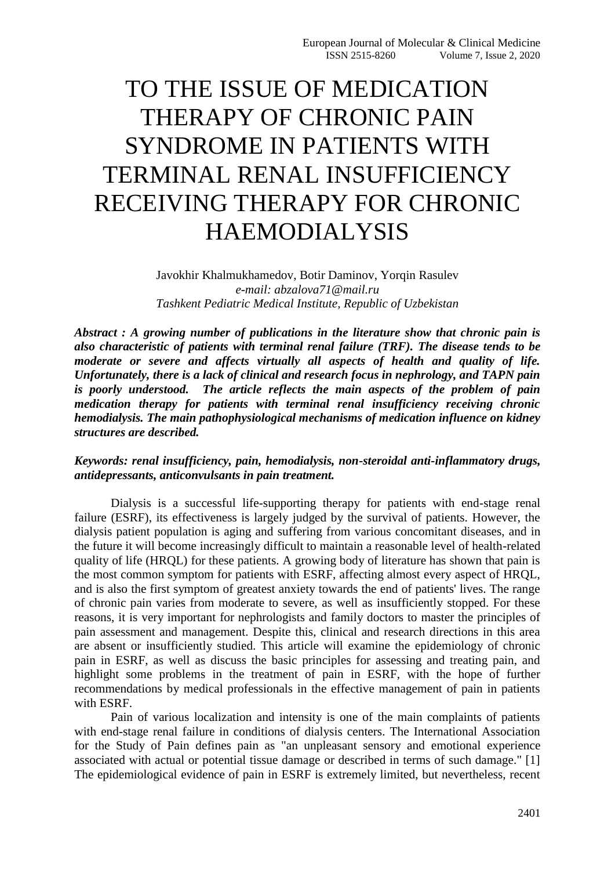# TO THE ISSUE OF MEDICATION THERAPY OF CHRONIC PAIN SYNDROME IN PATIENTS WITH TERMINAL RENAL INSUFFICIENCY RECEIVING THERAPY FOR CHRONIC HAEMODIALYSIS

Javokhir Khalmukhamedov, Botir Daminov, Yorqin Rasulev *e-mail: abzalova71@mail.ru Tashkent Pediatric Medical Institute, Republic of Uzbekistan*

*Abstract : A growing number of publications in the literature show that chronic pain is also characteristic of patients with terminal renal failure (TRF). The disease tends to be moderate or severe and affects virtually all aspects of health and quality of life. Unfortunately, there is a lack of clinical and research focus in nephrology, and TAPN pain is poorly understood. The article reflects the main aspects of the problem of pain medication therapy for patients with terminal renal insufficiency receiving chronic hemodialysis. The main pathophysiological mechanisms of medication influence on kidney structures are described.* 

### *Keywords: renal insufficiency, pain, hemodialysis, non-steroidal anti-inflammatory drugs, antidepressants, anticonvulsants in pain treatment.*

Dialysis is a successful life-supporting therapy for patients with end-stage renal failure (ESRF), its effectiveness is largely judged by the survival of patients. However, the dialysis patient population is aging and suffering from various concomitant diseases, and in the future it will become increasingly difficult to maintain a reasonable level of health-related quality of life (HRQL) for these patients. A growing body of literature has shown that pain is the most common symptom for patients with ESRF, affecting almost every aspect of HRQL, and is also the first symptom of greatest anxiety towards the end of patients' lives. The range of chronic pain varies from moderate to severe, as well as insufficiently stopped. For these reasons, it is very important for nephrologists and family doctors to master the principles of pain assessment and management. Despite this, clinical and research directions in this area are absent or insufficiently studied. This article will examine the epidemiology of chronic pain in ESRF, as well as discuss the basic principles for assessing and treating pain, and highlight some problems in the treatment of pain in ESRF, with the hope of further recommendations by medical professionals in the effective management of pain in patients with ESRF.

Pain of various localization and intensity is one of the main complaints of patients with end-stage renal failure in conditions of dialysis centers. The International Association for the Study of Pain defines pain as "an unpleasant sensory and emotional experience associated with actual or potential tissue damage or described in terms of such damage." [1] The epidemiological evidence of pain in ESRF is extremely limited, but nevertheless, recent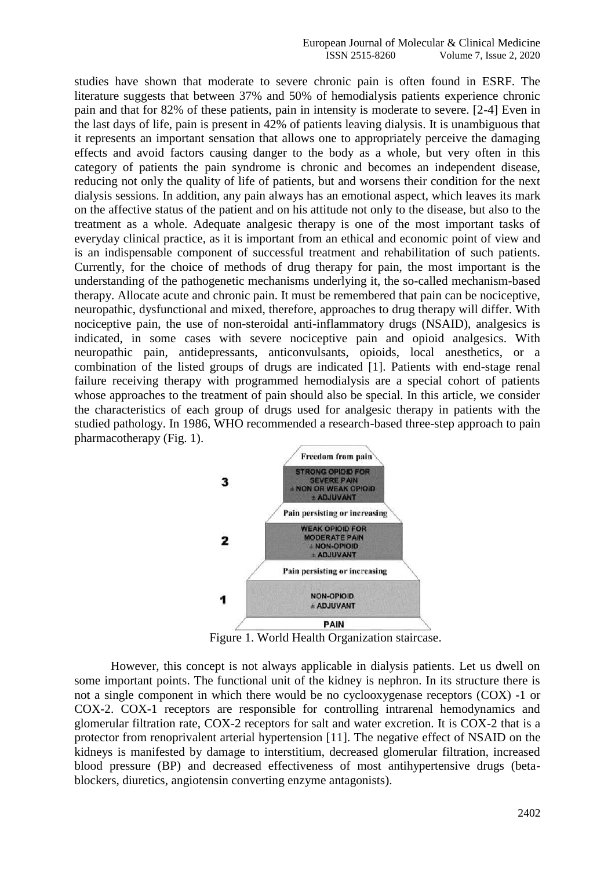studies have shown that moderate to severe chronic pain is often found in ESRF. The literature suggests that between 37% and 50% of hemodialysis patients experience chronic pain and that for 82% of these patients, pain in intensity is moderate to severe. [2-4] Even in the last days of life, pain is present in 42% of patients leaving dialysis. It is unambiguous that it represents an important sensation that allows one to appropriately perceive the damaging effects and avoid factors causing danger to the body as a whole, but very often in this category of patients the pain syndrome is chronic and becomes an independent disease, reducing not only the quality of life of patients, but and worsens their condition for the next dialysis sessions. In addition, any pain always has an emotional aspect, which leaves its mark on the affective status of the patient and on his attitude not only to the disease, but also to the treatment as a whole. Adequate analgesic therapy is one of the most important tasks of everyday clinical practice, as it is important from an ethical and economic point of view and is an indispensable component of successful treatment and rehabilitation of such patients. Currently, for the choice of methods of drug therapy for pain, the most important is the understanding of the pathogenetic mechanisms underlying it, the so-called mechanism-based therapy. Allocate acute and chronic pain. It must be remembered that pain can be nociceptive, neuropathic, dysfunctional and mixed, therefore, approaches to drug therapy will differ. With nociceptive pain, the use of non-steroidal anti-inflammatory drugs (NSAID), analgesics is indicated, in some cases with severe nociceptive pain and opioid analgesics. With neuropathic pain, antidepressants, anticonvulsants, opioids, local anesthetics, or a combination of the listed groups of drugs are indicated [1]. Patients with end-stage renal failure receiving therapy with programmed hemodialysis are a special cohort of patients whose approaches to the treatment of pain should also be special. In this article, we consider the characteristics of each group of drugs used for analgesic therapy in patients with the studied pathology. In 1986, WHO recommended a research-based three-step approach to pain pharmacotherapy (Fig. 1).



Figure 1. World Health Organization staircase.

However, this concept is not always applicable in dialysis patients. Let us dwell on some important points. The functional unit of the kidney is nephron. In its structure there is not a single component in which there would be no cyclooxygenase receptors (COX) -1 or COX-2. COX-1 receptors are responsible for controlling intrarenal hemodynamics and glomerular filtration rate, COX-2 receptors for salt and water excretion. It is COX-2 that is a protector from renoprivalent arterial hypertension [11]. The negative effect of NSAID on the kidneys is manifested by damage to interstitium, decreased glomerular filtration, increased blood pressure (BP) and decreased effectiveness of most antihypertensive drugs (betablockers, diuretics, angiotensin converting enzyme antagonists).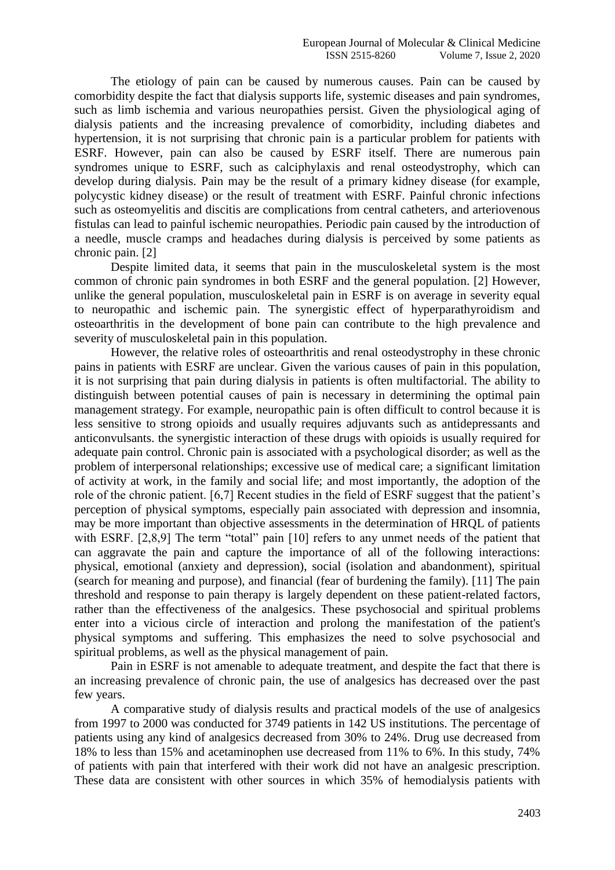The etiology of pain can be caused by numerous causes. Pain can be caused by comorbidity despite the fact that dialysis supports life, systemic diseases and pain syndromes, such as limb ischemia and various neuropathies persist. Given the physiological aging of dialysis patients and the increasing prevalence of comorbidity, including diabetes and hypertension, it is not surprising that chronic pain is a particular problem for patients with ESRF. However, pain can also be caused by ESRF itself. There are numerous pain syndromes unique to ESRF, such as calciphylaxis and renal osteodystrophy, which can develop during dialysis. Pain may be the result of a primary kidney disease (for example, polycystic kidney disease) or the result of treatment with ESRF. Painful chronic infections such as osteomyelitis and discitis are complications from central catheters, and arteriovenous fistulas can lead to painful ischemic neuropathies. Periodic pain caused by the introduction of a needle, muscle cramps and headaches during dialysis is perceived by some patients as chronic pain. [2]

Despite limited data, it seems that pain in the musculoskeletal system is the most common of chronic pain syndromes in both ESRF and the general population. [2] However, unlike the general population, musculoskeletal pain in ESRF is on average in severity equal to neuropathic and ischemic pain. The synergistic effect of hyperparathyroidism and osteoarthritis in the development of bone pain can contribute to the high prevalence and severity of musculoskeletal pain in this population.

However, the relative roles of osteoarthritis and renal osteodystrophy in these chronic pains in patients with ESRF are unclear. Given the various causes of pain in this population, it is not surprising that pain during dialysis in patients is often multifactorial. The ability to distinguish between potential causes of pain is necessary in determining the optimal pain management strategy. For example, neuropathic pain is often difficult to control because it is less sensitive to strong opioids and usually requires adjuvants such as antidepressants and anticonvulsants. the synergistic interaction of these drugs with opioids is usually required for adequate pain control. Chronic pain is associated with a psychological disorder; as well as the problem of interpersonal relationships; excessive use of medical care; a significant limitation of activity at work, in the family and social life; and most importantly, the adoption of the role of the chronic patient. [6,7] Recent studies in the field of ESRF suggest that the patient's perception of physical symptoms, especially pain associated with depression and insomnia, may be more important than objective assessments in the determination of HRQL of patients with ESRF.  $[2,8,9]$  The term "total" pain  $[10]$  refers to any unmet needs of the patient that can aggravate the pain and capture the importance of all of the following interactions: physical, emotional (anxiety and depression), social (isolation and abandonment), spiritual (search for meaning and purpose), and financial (fear of burdening the family). [11] The pain threshold and response to pain therapy is largely dependent on these patient-related factors, rather than the effectiveness of the analgesics. These psychosocial and spiritual problems enter into a vicious circle of interaction and prolong the manifestation of the patient's physical symptoms and suffering. This emphasizes the need to solve psychosocial and spiritual problems, as well as the physical management of pain.

Pain in ESRF is not amenable to adequate treatment, and despite the fact that there is an increasing prevalence of chronic pain, the use of analgesics has decreased over the past few years.

A comparative study of dialysis results and practical models of the use of analgesics from 1997 to 2000 was conducted for 3749 patients in 142 US institutions. The percentage of patients using any kind of analgesics decreased from 30% to 24%. Drug use decreased from 18% to less than 15% and acetaminophen use decreased from 11% to 6%. In this study, 74% of patients with pain that interfered with their work did not have an analgesic prescription. These data are consistent with other sources in which 35% of hemodialysis patients with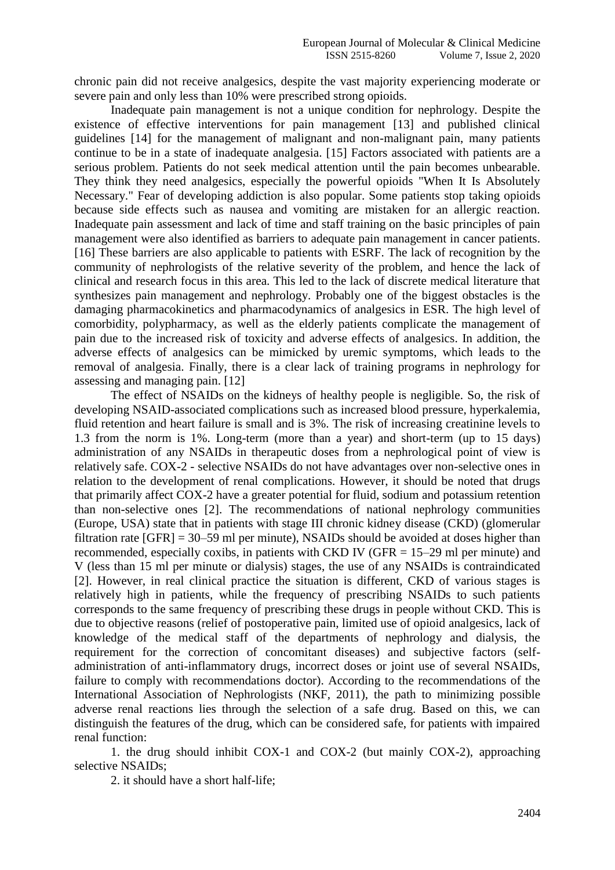chronic pain did not receive analgesics, despite the vast majority experiencing moderate or severe pain and only less than 10% were prescribed strong opioids.

Inadequate pain management is not a unique condition for nephrology. Despite the existence of effective interventions for pain management [13] and published clinical guidelines [14] for the management of malignant and non-malignant pain, many patients continue to be in a state of inadequate analgesia. [15] Factors associated with patients are a serious problem. Patients do not seek medical attention until the pain becomes unbearable. They think they need analgesics, especially the powerful opioids "When It Is Absolutely Necessary." Fear of developing addiction is also popular. Some patients stop taking opioids because side effects such as nausea and vomiting are mistaken for an allergic reaction. Inadequate pain assessment and lack of time and staff training on the basic principles of pain management were also identified as barriers to adequate pain management in cancer patients. [16] These barriers are also applicable to patients with ESRF. The lack of recognition by the community of nephrologists of the relative severity of the problem, and hence the lack of clinical and research focus in this area. This led to the lack of discrete medical literature that synthesizes pain management and nephrology. Probably one of the biggest obstacles is the damaging pharmacokinetics and pharmacodynamics of analgesics in ESR. The high level of comorbidity, polypharmacy, as well as the elderly patients complicate the management of pain due to the increased risk of toxicity and adverse effects of analgesics. In addition, the adverse effects of analgesics can be mimicked by uremic symptoms, which leads to the removal of analgesia. Finally, there is a clear lack of training programs in nephrology for assessing and managing pain. [12]

The effect of NSAIDs on the kidneys of healthy people is negligible. So, the risk of developing NSAID-associated complications such as increased blood pressure, hyperkalemia, fluid retention and heart failure is small and is 3%. The risk of increasing creatinine levels to 1.3 from the norm is 1%. Long-term (more than a year) and short-term (up to 15 days) administration of any NSAIDs in therapeutic doses from a nephrological point of view is relatively safe. COX-2 - selective NSAIDs do not have advantages over non-selective ones in relation to the development of renal complications. However, it should be noted that drugs that primarily affect COX-2 have a greater potential for fluid, sodium and potassium retention than non-selective ones [2]. The recommendations of national nephrology communities (Europe, USA) state that in patients with stage III chronic kidney disease (CKD) (glomerular filtration rate  $[GFR] = 30-59$  ml per minute), NSAIDs should be avoided at doses higher than recommended, especially coxibs, in patients with CKD IV (GFR = 15–29 ml per minute) and V (less than 15 ml per minute or dialysis) stages, the use of any NSAIDs is contraindicated [2]. However, in real clinical practice the situation is different, CKD of various stages is relatively high in patients, while the frequency of prescribing NSAIDs to such patients corresponds to the same frequency of prescribing these drugs in people without CKD. This is due to objective reasons (relief of postoperative pain, limited use of opioid analgesics, lack of knowledge of the medical staff of the departments of nephrology and dialysis, the requirement for the correction of concomitant diseases) and subjective factors (selfadministration of anti-inflammatory drugs, incorrect doses or joint use of several NSAIDs, failure to comply with recommendations doctor). According to the recommendations of the International Association of Nephrologists (NKF, 2011), the path to minimizing possible adverse renal reactions lies through the selection of a safe drug. Based on this, we can distinguish the features of the drug, which can be considered safe, for patients with impaired renal function:

1. the drug should inhibit COX-1 and COX-2 (but mainly COX-2), approaching selective NSAIDs;

2. it should have a short half-life;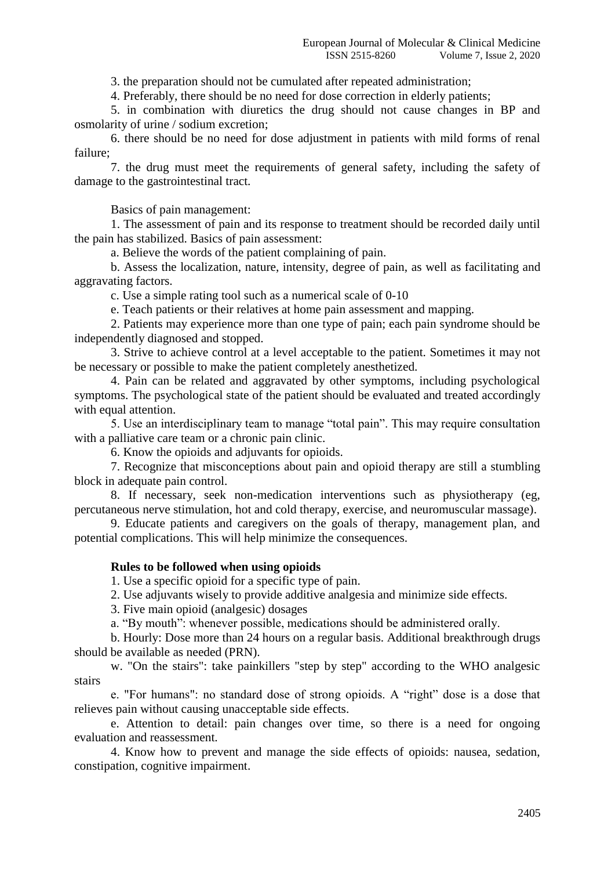3. the preparation should not be cumulated after repeated administration;

4. Preferably, there should be no need for dose correction in elderly patients;

5. in combination with diuretics the drug should not cause changes in BP and osmolarity of urine / sodium excretion;

6. there should be no need for dose adjustment in patients with mild forms of renal failure;

7. the drug must meet the requirements of general safety, including the safety of damage to the gastrointestinal tract.

Basics of pain management:

1. The assessment of pain and its response to treatment should be recorded daily until the pain has stabilized. Basics of pain assessment:

a. Believe the words of the patient complaining of pain.

b. Assess the localization, nature, intensity, degree of pain, as well as facilitating and aggravating factors.

c. Use a simple rating tool such as a numerical scale of 0-10

e. Teach patients or their relatives at home pain assessment and mapping.

2. Patients may experience more than one type of pain; each pain syndrome should be independently diagnosed and stopped.

3. Strive to achieve control at a level acceptable to the patient. Sometimes it may not be necessary or possible to make the patient completely anesthetized.

4. Pain can be related and aggravated by other symptoms, including psychological symptoms. The psychological state of the patient should be evaluated and treated accordingly with equal attention.

5. Use an interdisciplinary team to manage "total pain". This may require consultation with a palliative care team or a chronic pain clinic.

6. Know the opioids and adjuvants for opioids.

7. Recognize that misconceptions about pain and opioid therapy are still a stumbling block in adequate pain control.

8. If necessary, seek non-medication interventions such as physiotherapy (eg, percutaneous nerve stimulation, hot and cold therapy, exercise, and neuromuscular massage).

9. Educate patients and caregivers on the goals of therapy, management plan, and potential complications. This will help minimize the consequences.

#### **Rules to be followed when using opioids**

1. Use a specific opioid for a specific type of pain.

2. Use adjuvants wisely to provide additive analgesia and minimize side effects.

3. Five main opioid (analgesic) dosages

a. "By mouth": whenever possible, medications should be administered orally.

b. Hourly: Dose more than 24 hours on a regular basis. Additional breakthrough drugs should be available as needed (PRN).

w. "On the stairs": take painkillers "step by step" according to the WHO analgesic stairs

e. "For humans": no standard dose of strong opioids. A "right" dose is a dose that relieves pain without causing unacceptable side effects.

e. Attention to detail: pain changes over time, so there is a need for ongoing evaluation and reassessment.

4. Know how to prevent and manage the side effects of opioids: nausea, sedation, constipation, cognitive impairment.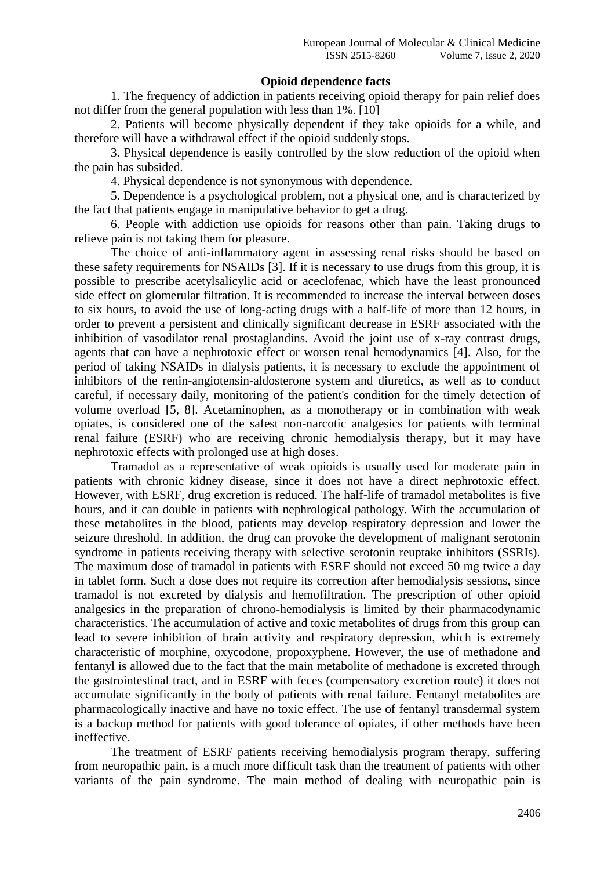## **Opioid dependence facts**

1. The frequency of addiction in patients receiving opioid therapy for pain relief does not differ from the general population with less than 1%. [10]

2. Patients will become physically dependent if they take opioids for a while, and therefore will have a withdrawal effect if the opioid suddenly stops.

3. Physical dependence is easily controlled by the slow reduction of the opioid when the pain has subsided.

4. Physical dependence is not synonymous with dependence.

5. Dependence is a psychological problem, not a physical one, and is characterized by the fact that patients engage in manipulative behavior to get a drug.

6. People with addiction use opioids for reasons other than pain. Taking drugs to relieve pain is not taking them for pleasure.

The choice of anti-inflammatory agent in assessing renal risks should be based on these safety requirements for NSAIDs [3]. If it is necessary to use drugs from this group, it is possible to prescribe acetylsalicylic acid or aceclofenac, which have the least pronounced side effect on glomerular filtration. It is recommended to increase the interval between doses to six hours, to avoid the use of long-acting drugs with a half-life of more than 12 hours, in order to prevent a persistent and clinically significant decrease in ESRF associated with the inhibition of vasodilator renal prostaglandins. Avoid the joint use of x-ray contrast drugs, agents that can have a nephrotoxic effect or worsen renal hemodynamics [4]. Also, for the period of taking NSAIDs in dialysis patients, it is necessary to exclude the appointment of inhibitors of the renin-angiotensin-aldosterone system and diuretics, as well as to conduct careful, if necessary daily, monitoring of the patient's condition for the timely detection of volume overload [5, 8]. Acetaminophen, as a monotherapy or in combination with weak opiates, is considered one of the safest non-narcotic analgesics for patients with terminal renal failure (ESRF) who are receiving chronic hemodialysis therapy, but it may have nephrotoxic effects with prolonged use at high doses.

Tramadol as a representative of weak opioids is usually used for moderate pain in patients with chronic kidney disease, since it does not have a direct nephrotoxic effect. However, with ESRF, drug excretion is reduced. The half-life of tramadol metabolites is five hours, and it can double in patients with nephrological pathology. With the accumulation of these metabolites in the blood, patients may develop respiratory depression and lower the seizure threshold. In addition, the drug can provoke the development of malignant serotonin syndrome in patients receiving therapy with selective serotonin reuptake inhibitors (SSRIs). The maximum dose of tramadol in patients with ESRF should not exceed 50 mg twice a day in tablet form. Such a dose does not require its correction after hemodialysis sessions, since tramadol is not excreted by dialysis and hemofiltration. The prescription of other opioid analgesics in the preparation of chrono-hemodialysis is limited by their pharmacodynamic characteristics. The accumulation of active and toxic metabolites of drugs from this group can lead to severe inhibition of brain activity and respiratory depression, which is extremely characteristic of morphine, oxycodone, propoxyphene. However, the use of methadone and fentanyl is allowed due to the fact that the main metabolite of methadone is excreted through the gastrointestinal tract, and in ESRF with feces (compensatory excretion route) it does not accumulate significantly in the body of patients with renal failure. Fentanyl metabolites are pharmacologically inactive and have no toxic effect. The use of fentanyl transdermal system is a backup method for patients with good tolerance of opiates, if other methods have been ineffective.

The treatment of ESRF patients receiving hemodialysis program therapy, suffering from neuropathic pain, is a much more difficult task than the treatment of patients with other variants of the pain syndrome. The main method of dealing with neuropathic pain is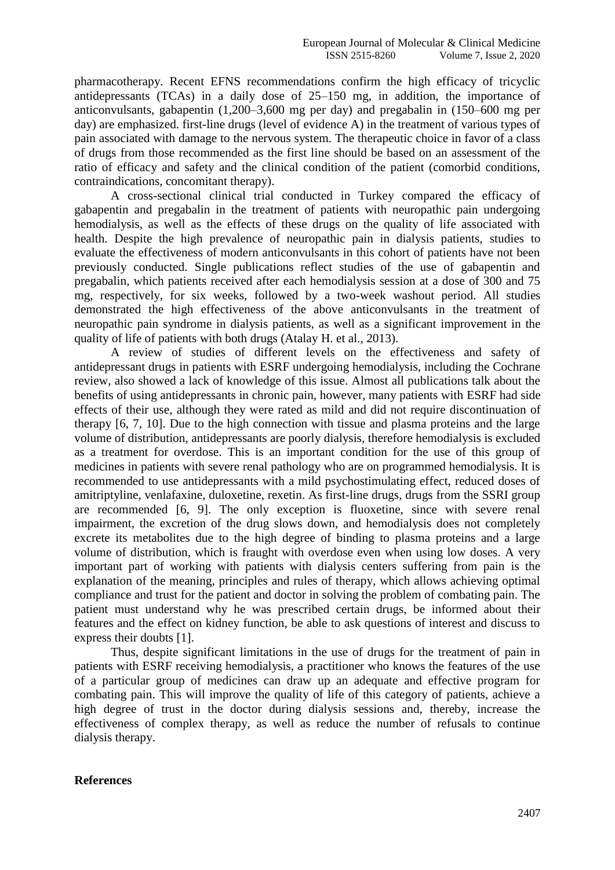pharmacotherapy. Recent EFNS recommendations confirm the high efficacy of tricyclic antidepressants (TCAs) in a daily dose of 25–150 mg, in addition, the importance of anticonvulsants, gabapentin (1,200–3,600 mg per day) and pregabalin in (150–600 mg per day) are emphasized. first-line drugs (level of evidence A) in the treatment of various types of pain associated with damage to the nervous system. The therapeutic choice in favor of a class of drugs from those recommended as the first line should be based on an assessment of the ratio of efficacy and safety and the clinical condition of the patient (comorbid conditions, contraindications, concomitant therapy).

A cross-sectional clinical trial conducted in Turkey compared the efficacy of gabapentin and pregabalin in the treatment of patients with neuropathic pain undergoing hemodialysis, as well as the effects of these drugs on the quality of life associated with health. Despite the high prevalence of neuropathic pain in dialysis patients, studies to evaluate the effectiveness of modern anticonvulsants in this cohort of patients have not been previously conducted. Single publications reflect studies of the use of gabapentin and pregabalin, which patients received after each hemodialysis session at a dose of 300 and 75 mg, respectively, for six weeks, followed by a two-week washout period. All studies demonstrated the high effectiveness of the above anticonvulsants in the treatment of neuropathic pain syndrome in dialysis patients, as well as a significant improvement in the quality of life of patients with both drugs (Atalay H. et al., 2013).

A review of studies of different levels on the effectiveness and safety of antidepressant drugs in patients with ESRF undergoing hemodialysis, including the Cochrane review, also showed a lack of knowledge of this issue. Almost all publications talk about the benefits of using antidepressants in chronic pain, however, many patients with ESRF had side effects of their use, although they were rated as mild and did not require discontinuation of therapy [6, 7, 10]. Due to the high connection with tissue and plasma proteins and the large volume of distribution, antidepressants are poorly dialysis, therefore hemodialysis is excluded as a treatment for overdose. This is an important condition for the use of this group of medicines in patients with severe renal pathology who are on programmed hemodialysis. It is recommended to use antidepressants with a mild psychostimulating effect, reduced doses of amitriptyline, venlafaxine, duloxetine, rexetin. As first-line drugs, drugs from the SSRI group are recommended [6, 9]. The only exception is fluoxetine, since with severe renal impairment, the excretion of the drug slows down, and hemodialysis does not completely excrete its metabolites due to the high degree of binding to plasma proteins and a large volume of distribution, which is fraught with overdose even when using low doses. A very important part of working with patients with dialysis centers suffering from pain is the explanation of the meaning, principles and rules of therapy, which allows achieving optimal compliance and trust for the patient and doctor in solving the problem of combating pain. The patient must understand why he was prescribed certain drugs, be informed about their features and the effect on kidney function, be able to ask questions of interest and discuss to express their doubts [1].

Thus, despite significant limitations in the use of drugs for the treatment of pain in patients with ESRF receiving hemodialysis, a practitioner who knows the features of the use of a particular group of medicines can draw up an adequate and effective program for combating pain. This will improve the quality of life of this category of patients, achieve a high degree of trust in the doctor during dialysis sessions and, thereby, increase the effectiveness of complex therapy, as well as reduce the number of refusals to continue dialysis therapy.

#### **References**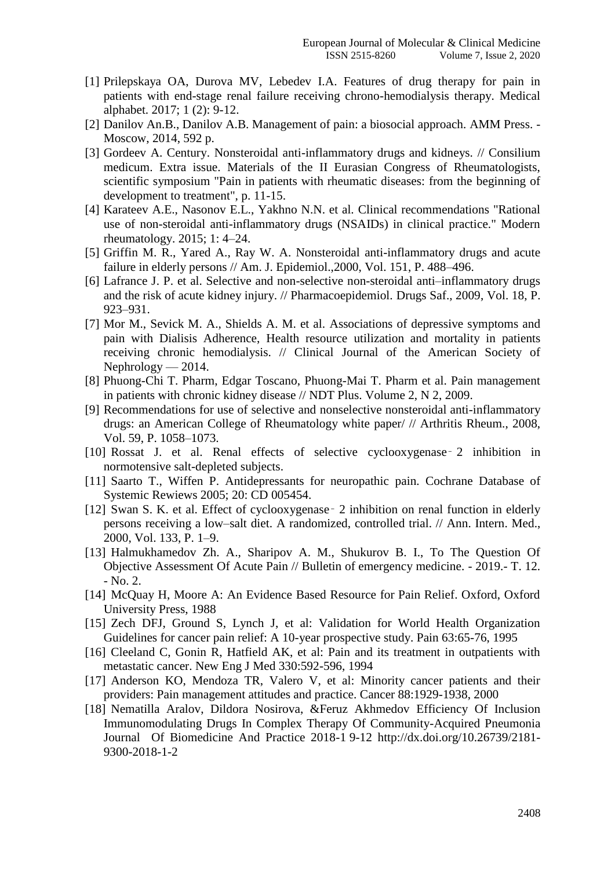- [1] Prilepskaya OA, Durova MV, Lebedev I.A. Features of drug therapy for pain in patients with end-stage renal failure receiving chrono-hemodialysis therapy. Medical alphabet. 2017; 1 (2): 9-12.
- [2] Danilov An.B., Danilov A.B. Management of pain: a biosocial approach. AMM Press. Moscow, 2014, 592 p.
- [3] Gordeev A. Century. Nonsteroidal anti-inflammatory drugs and kidneys. // Consilium medicum. Extra issue. Materials of the II Eurasian Congress of Rheumatologists, scientific symposium "Pain in patients with rheumatic diseases: from the beginning of development to treatment", p. 11-15.
- [4] Karateev A.E., Nasonov E.L., Yakhno N.N. et al. Clinical recommendations "Rational use of non-steroidal anti-inflammatory drugs (NSAIDs) in clinical practice." Modern rheumatology. 2015; 1: 4–24.
- [5] Griffin M. R., Yared A., Ray W. A. Nonsteroidal anti-inflammatory drugs and acute failure in elderly persons // Am. J. Epidemiol.,2000, Vol. 151, P. 488–496.
- [6] Lafrance J. P. et al. Selective and non-selective non-steroidal anti–inflammatory drugs and the risk of acute kidney injury. // Pharmacoepidemiol. Drugs Saf., 2009, Vol. 18, P. 923–931.
- [7] Mor M., Sevick M. A., Shields A. M. et al. Associations of depressive symptoms and pain with Dialisis Adherence, Health resource utilization and mortality in patients receiving chronic hemodialysis. // Clinical Journal of the American Society of Nephrology — 2014.
- [8] Phuong-Chi T. Pharm, Edgar Toscano, Phuong-Mai T. Pharm et al. Pain management in patients with chronic kidney disease // NDT Plus. Volume 2, N 2, 2009.
- [9] Recommendations for use of selective and nonselective nonsteroidal anti-inflammatory drugs: an American College of Rheumatology white paper/ // Arthritis Rheum., 2008, Vol. 59, P. 1058–1073.
- [10] Rossat J. et al. Renal effects of selective cyclooxygenase 2 inhibition in normotensive salt-depleted subjects.
- [11] Saarto T., Wiffen P. Antidepressants for neuropathic pain. Cochrane Database of Systemic Rewiews 2005; 20: CD 005454.
- [12] Swan S. K. et al. Effect of cyclooxygenase  $\sim$  2 inhibition on renal function in elderly persons receiving a low–salt diet. A randomized, controlled trial. // Ann. Intern. Med., 2000, Vol. 133, P. 1–9.
- [13] Halmukhamedov Zh. A., Sharipov A. M., Shukurov B. I., To The Question Of Objective Assessment Of Acute Pain // Bulletin of emergency medicine. - 2019.- T. 12. - No. 2.
- [14] McQuay H, Moore A: An Evidence Based Resource for Pain Relief. Oxford, Oxford University Press, 1988
- [15] Zech DFJ, Ground S, Lynch J, et al: Validation for World Health Organization Guidelines for cancer pain relief: A 10-year prospective study. Pain 63:65-76, 1995
- [16] Cleeland C, Gonin R, Hatfield AK, et al: Pain and its treatment in outpatients with metastatic cancer. New Eng J Med 330:592-596, 1994
- [17] Anderson KO, Mendoza TR, Valero V, et al: Minority cancer patients and their providers: Pain management attitudes and practice. Cancer 88:1929-1938, 2000
- [18] Nematilla Aralov, Dildora Nosirova, &Feruz Akhmedov Efficiency Of Inclusion Immunomodulating Drugs In Complex Therapy Of Community-Acquired Pneumonia Journal Of Biomedicine And Practice 2018-1 [9](http://tadqiqot.uz/wp-content/uploads/2018/05/biomedicine-2016-1-6-10.pdf)-12 [http://dx.doi.org/10.26739/2181-](http://dx.doi.org/10.26739/2181-9300-2018-1-2) [9300-2018-1-2](http://dx.doi.org/10.26739/2181-9300-2018-1-2)